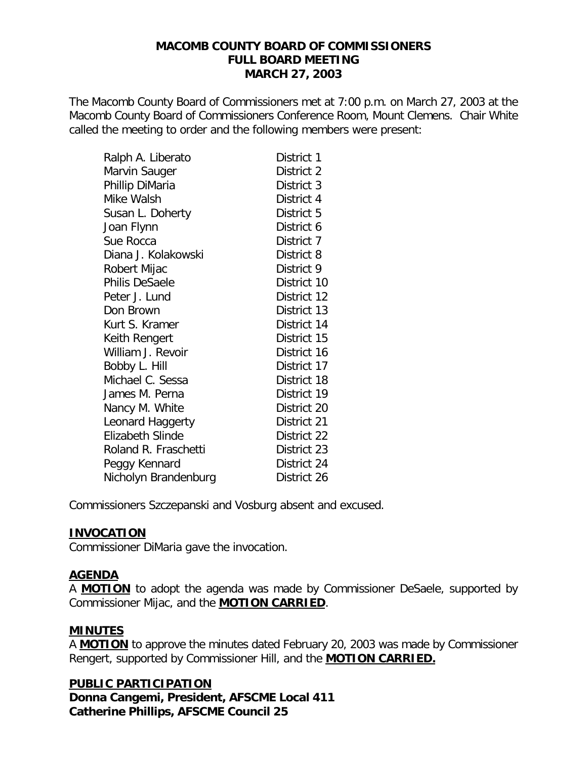#### **MACOMB COUNTY BOARD OF COMMISSIONERS FULL BOARD MEETING MARCH 27, 2003**

The Macomb County Board of Commissioners met at 7:00 p.m. on March 27, 2003 at the Macomb County Board of Commissioners Conference Room, Mount Clemens. Chair White called the meeting to order and the following members were present:

| Ralph A. Liberato       | District 1  |
|-------------------------|-------------|
| Marvin Sauger           | District 2  |
| Phillip DiMaria         | District 3  |
| Mike Walsh              | District 4  |
| Susan L. Doherty        | District 5  |
| Joan Flynn              | District 6  |
| Sue Rocca               | District 7  |
| Diana J. Kolakowski     | District 8  |
| Robert Mijac            | District 9  |
| Philis DeSaele          | District 10 |
| Peter J. Lund           | District 12 |
| Don Brown               | District 13 |
| Kurt S. Kramer          | District 14 |
| Keith Rengert           | District 15 |
| William J. Revoir       | District 16 |
| Bobby L. Hill           | District 17 |
| Michael C. Sessa        | District 18 |
| James M. Perna          | District 19 |
| Nancy M. White          | District 20 |
| Leonard Haggerty        | District 21 |
| <b>Elizabeth Slinde</b> | District 22 |
| Roland R. Fraschetti    | District 23 |
| Peggy Kennard           | District 24 |
| Nicholyn Brandenburg    | District 26 |

Commissioners Szczepanski and Vosburg absent and excused.

#### **INVOCATION**

Commissioner DiMaria gave the invocation.

# **AGENDA**

A **MOTION** to adopt the agenda was made by Commissioner DeSaele, supported by Commissioner Mijac, and the **MOTION CARRIED**.

# **MINUTES**

A **MOTION** to approve the minutes dated February 20, 2003 was made by Commissioner Rengert, supported by Commissioner Hill, and the **MOTION CARRIED.**

**PUBLIC PARTICIPATION** *Donna Cangemi, President, AFSCME Local 411 Catherine Phillips, AFSCME Council 25*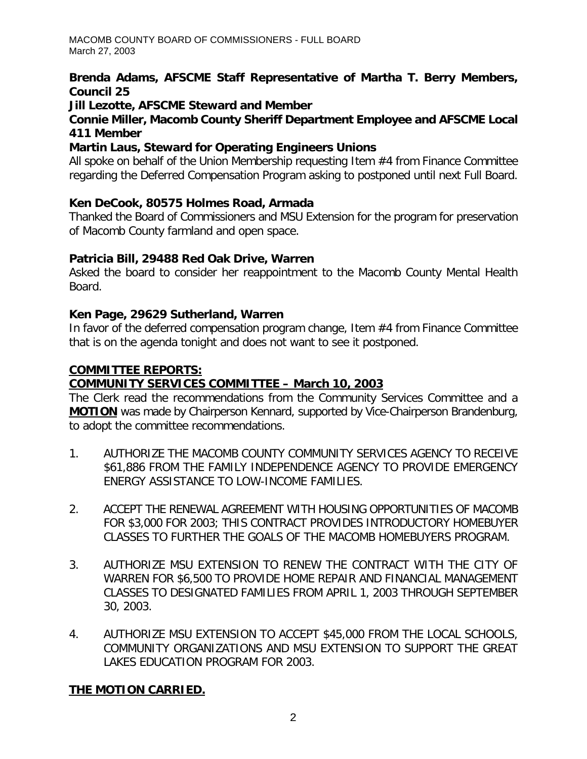# *Brenda Adams, AFSCME Staff Representative of Martha T. Berry Members, Council 25*

#### *Jill Lezotte, AFSCME Steward and Member*

#### *Connie Miller, Macomb County Sheriff Department Employee and AFSCME Local 411 Member*

# *Martin Laus, Steward for Operating Engineers Unions*

All spoke on behalf of the Union Membership requesting Item #4 from Finance Committee regarding the Deferred Compensation Program asking to postponed until next Full Board.

# *Ken DeCook, 80575 Holmes Road, Armada*

Thanked the Board of Commissioners and MSU Extension for the program for preservation of Macomb County farmland and open space.

# *Patricia Bill, 29488 Red Oak Drive, Warren*

Asked the board to consider her reappointment to the Macomb County Mental Health Board.

# *Ken Page, 29629 Sutherland, Warren*

In favor of the deferred compensation program change, Item #4 from Finance Committee that is on the agenda tonight and does not want to see it postponed.

# **COMMITTEE REPORTS:**

# *COMMUNITY SERVICES COMMITTEE – March 10, 2003*

The Clerk read the recommendations from the Community Services Committee and a **MOTION** was made by Chairperson Kennard, supported by Vice-Chairperson Brandenburg, to adopt the committee recommendations.

- 1. AUTHORIZE THE MACOMB COUNTY COMMUNITY SERVICES AGENCY TO RECEIVE \$61,886 FROM THE FAMILY INDEPENDENCE AGENCY TO PROVIDE EMERGENCY ENERGY ASSISTANCE TO LOW-INCOME FAMILIES.
- 2. ACCEPT THE RENEWAL AGREEMENT WITH HOUSING OPPORTUNITIES OF MACOMB FOR \$3,000 FOR 2003; THIS CONTRACT PROVIDES INTRODUCTORY HOMEBUYER CLASSES TO FURTHER THE GOALS OF THE MACOMB HOMEBUYERS PROGRAM.
- 3. AUTHORIZE MSU EXTENSION TO RENEW THE CONTRACT WITH THE CITY OF WARREN FOR \$6,500 TO PROVIDE HOME REPAIR AND FINANCIAL MANAGEMENT CLASSES TO DESIGNATED FAMILIES FROM APRIL 1, 2003 THROUGH SEPTEMBER 30, 2003.
- 4. AUTHORIZE MSU EXTENSION TO ACCEPT \$45,000 FROM THE LOCAL SCHOOLS, COMMUNITY ORGANIZATIONS AND MSU EXTENSION TO SUPPORT THE GREAT LAKES EDUCATION PROGRAM FOR 2003.

# **THE MOTION CARRIED.**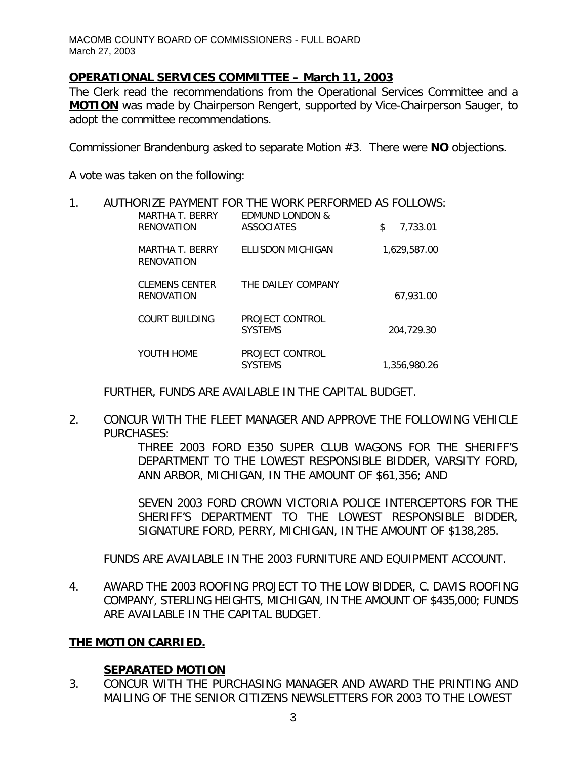# *OPERATIONAL SERVICES COMMITTEE – March 11, 2003*

The Clerk read the recommendations from the Operational Services Committee and a **MOTION** was made by Chairperson Rengert, supported by Vice-Chairperson Sauger, to adopt the committee recommendations.

Commissioner Brandenburg asked to separate Motion #3. There were **NO** objections.

A vote was taken on the following:

# 1. AUTHORIZE PAYMENT FOR THE WORK PERFORMED AS FOLLOWS:

| MARTHA T. BERRY<br>RENOVATION              | <b>EDMUND LONDON &amp;</b><br><b>ASSOCIATES</b> | 7.733.01<br>\$ |
|--------------------------------------------|-------------------------------------------------|----------------|
| MARTHA T. BERRY<br>RENOVATION              | ELLISDON MICHIGAN                               | 1.629.587.00   |
| <b>CLEMENS CENTER</b><br><b>RENOVATION</b> | THE DAILEY COMPANY                              | 67.931.00      |
| COURT BUILDING                             | PROJECT CONTROL<br><b>SYSTEMS</b>               | 204,729.30     |
| YOUTH HOME                                 | PROJECT CONTROL<br><b>SYSTEMS</b>               | 1,356,980.26   |

FURTHER, FUNDS ARE AVAILABLE IN THE CAPITAL BUDGET.

2. CONCUR WITH THE FLEET MANAGER AND APPROVE THE FOLLOWING VEHICLE PURCHASES:

THREE 2003 FORD E350 SUPER CLUB WAGONS FOR THE SHERIFF'S DEPARTMENT TO THE LOWEST RESPONSIBLE BIDDER, VARSITY FORD, ANN ARBOR, MICHIGAN, IN THE AMOUNT OF \$61,356; AND

SEVEN 2003 FORD CROWN VICTORIA POLICE INTERCEPTORS FOR THE SHERIFF'S DEPARTMENT TO THE LOWEST RESPONSIBLE BIDDER, SIGNATURE FORD, PERRY, MICHIGAN, IN THE AMOUNT OF \$138,285.

FUNDS ARE AVAILABLE IN THE 2003 FURNITURE AND EQUIPMENT ACCOUNT.

4. AWARD THE 2003 ROOFING PROJECT TO THE LOW BIDDER, C. DAVIS ROOFING COMPANY, STERLING HEIGHTS, MICHIGAN, IN THE AMOUNT OF \$435,000; FUNDS ARE AVAILABLE IN THE CAPITAL BUDGET.

# **THE MOTION CARRIED.**

# **SEPARATED MOTION**

3. CONCUR WITH THE PURCHASING MANAGER AND AWARD THE PRINTING AND MAILING OF THE SENIOR CITIZENS NEWSLETTERS FOR 2003 TO THE LOWEST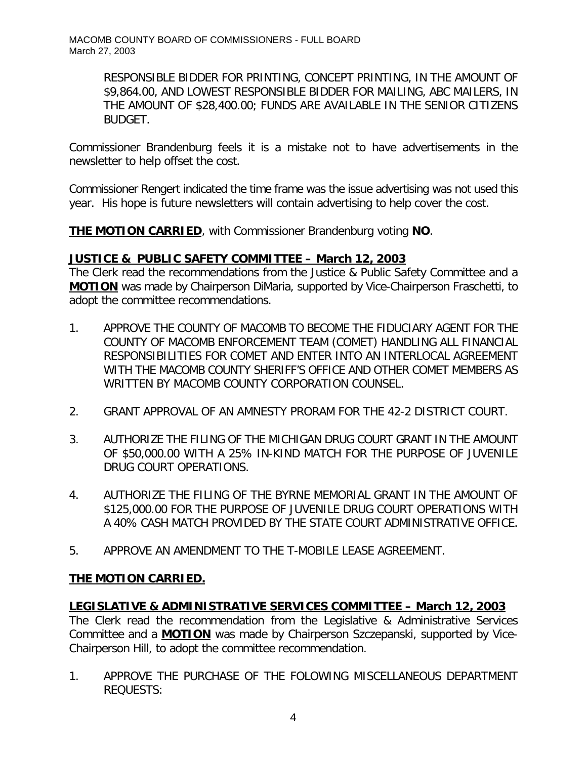> RESPONSIBLE BIDDER FOR PRINTING, CONCEPT PRINTING, IN THE AMOUNT OF \$9,864.00, AND LOWEST RESPONSIBLE BIDDER FOR MAILING, ABC MAILERS, IN THE AMOUNT OF \$28,400.00; FUNDS ARE AVAILABLE IN THE SENIOR CITIZENS BUDGET.

Commissioner Brandenburg feels it is a mistake not to have advertisements in the newsletter to help offset the cost.

Commissioner Rengert indicated the time frame was the issue advertising was not used this year. His hope is future newsletters will contain advertising to help cover the cost.

**THE MOTION CARRIED**, with Commissioner Brandenburg voting **NO**.

# *JUSTICE & PUBLIC SAFETY COMMITTEE – March 12, 2003*

The Clerk read the recommendations from the Justice & Public Safety Committee and a **MOTION** was made by Chairperson DiMaria, supported by Vice-Chairperson Fraschetti, to adopt the committee recommendations.

- 1. APPROVE THE COUNTY OF MACOMB TO BECOME THE FIDUCIARY AGENT FOR THE COUNTY OF MACOMB ENFORCEMENT TEAM (COMET) HANDLING ALL FINANCIAL RESPONSIBILITIES FOR COMET AND ENTER INTO AN INTERLOCAL AGREEMENT WITH THE MACOMB COUNTY SHERIFF'S OFFICE AND OTHER COMET MEMBERS AS WRITTEN BY MACOMB COUNTY CORPORATION COUNSEL.
- 2. GRANT APPROVAL OF AN AMNESTY PRORAM FOR THE 42-2 DISTRICT COURT.
- 3. AUTHORIZE THE FILING OF THE MICHIGAN DRUG COURT GRANT IN THE AMOUNT OF \$50,000.00 WITH A 25% IN-KIND MATCH FOR THE PURPOSE OF JUVENILE DRUG COURT OPERATIONS.
- 4. AUTHORIZE THE FILING OF THE BYRNE MEMORIAL GRANT IN THE AMOUNT OF \$125,000.00 FOR THE PURPOSE OF JUVENILE DRUG COURT OPERATIONS WITH A 40% CASH MATCH PROVIDED BY THE STATE COURT ADMINISTRATIVE OFFICE.
- 5. APPROVE AN AMENDMENT TO THE T-MOBILE LEASE AGREEMENT.

# **THE MOTION CARRIED.**

# *LEGISLATIVE & ADMINISTRATIVE SERVICES COMMITTEE – March 12, 2003*

The Clerk read the recommendation from the Legislative & Administrative Services Committee and a **MOTION** was made by Chairperson Szczepanski, supported by Vice-Chairperson Hill, to adopt the committee recommendation.

1. APPROVE THE PURCHASE OF THE FOLOWING MISCELLANEOUS DEPARTMENT REQUESTS: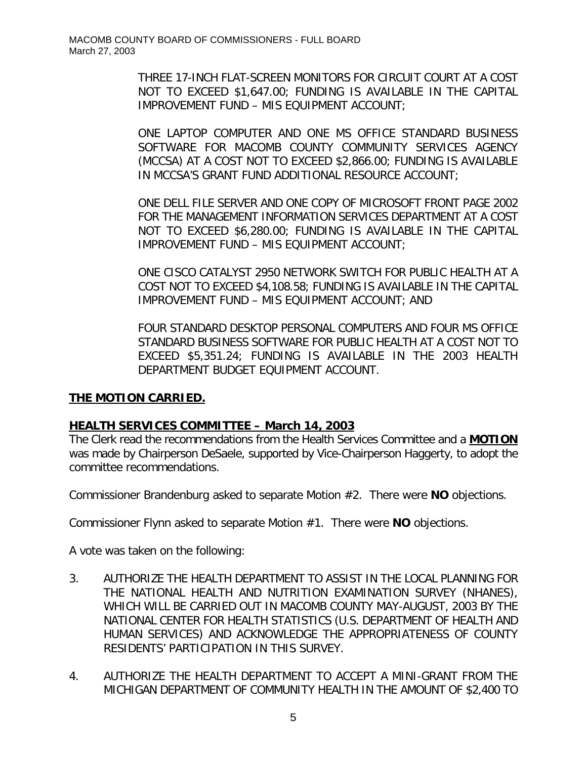THREE 17-INCH FLAT-SCREEN MONITORS FOR CIRCUIT COURT AT A COST NOT TO EXCEED \$1,647.00; FUNDING IS AVAILABLE IN THE CAPITAL IMPROVEMENT FUND – MIS EQUIPMENT ACCOUNT;

ONE LAPTOP COMPUTER AND ONE MS OFFICE STANDARD BUSINESS SOFTWARE FOR MACOMB COUNTY COMMUNITY SERVICES AGENCY (MCCSA) AT A COST NOT TO EXCEED \$2,866.00; FUNDING IS AVAILABLE IN MCCSA'S GRANT FUND ADDITIONAL RESOURCE ACCOUNT;

ONE DELL FILE SERVER AND ONE COPY OF MICROSOFT FRONT PAGE 2002 FOR THE MANAGEMENT INFORMATION SERVICES DEPARTMENT AT A COST NOT TO EXCEED \$6,280.00; FUNDING IS AVAILABLE IN THE CAPITAL IMPROVEMENT FUND – MIS EQUIPMENT ACCOUNT;

ONE CISCO CATALYST 2950 NETWORK SWITCH FOR PUBLIC HEALTH AT A COST NOT TO EXCEED \$4,108.58; FUNDING IS AVAILABLE IN THE CAPITAL IMPROVEMENT FUND – MIS EQUIPMENT ACCOUNT; AND

FOUR STANDARD DESKTOP PERSONAL COMPUTERS AND FOUR MS OFFICE STANDARD BUSINESS SOFTWARE FOR PUBLIC HEALTH AT A COST NOT TO EXCEED \$5,351.24; FUNDING IS AVAILABLE IN THE 2003 HEALTH DEPARTMENT BUDGET EQUIPMENT ACCOUNT.

# **THE MOTION CARRIED.**

# *HEALTH SERVICES COMMITTEE – March 14, 2003*

The Clerk read the recommendations from the Health Services Committee and a **MOTION** was made by Chairperson DeSaele, supported by Vice-Chairperson Haggerty, to adopt the committee recommendations.

Commissioner Brandenburg asked to separate Motion #2. There were **NO** objections.

Commissioner Flynn asked to separate Motion #1. There were **NO** objections.

A vote was taken on the following:

- 3. AUTHORIZE THE HEALTH DEPARTMENT TO ASSIST IN THE LOCAL PLANNING FOR THE NATIONAL HEALTH AND NUTRITION EXAMINATION SURVEY (NHANES), WHICH WILL BE CARRIED OUT IN MACOMB COUNTY MAY-AUGUST, 2003 BY THE NATIONAL CENTER FOR HEALTH STATISTICS (U.S. DEPARTMENT OF HEALTH AND HUMAN SERVICES) AND ACKNOWLEDGE THE APPROPRIATENESS OF COUNTY RESIDENTS' PARTICIPATION IN THIS SURVEY.
- 4. AUTHORIZE THE HEALTH DEPARTMENT TO ACCEPT A MINI-GRANT FROM THE MICHIGAN DEPARTMENT OF COMMUNITY HEALTH IN THE AMOUNT OF \$2,400 TO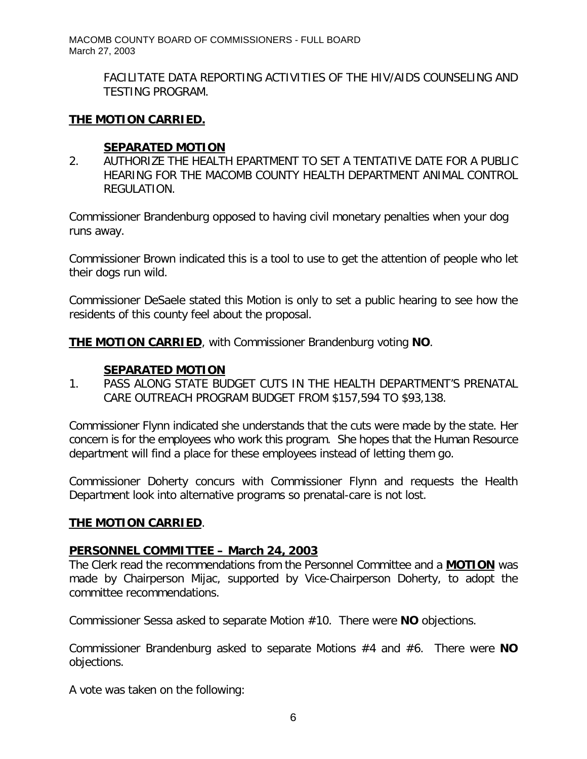> FACILITATE DATA REPORTING ACTIVITIES OF THE HIV/AIDS COUNSELING AND TESTING PROGRAM.

# **THE MOTION CARRIED.**

#### **SEPARATED MOTION**

2. AUTHORIZE THE HEALTH EPARTMENT TO SET A TENTATIVE DATE FOR A PUBLIC HEARING FOR THE MACOMB COUNTY HEALTH DEPARTMENT ANIMAL CONTROL REGULATION.

Commissioner Brandenburg opposed to having civil monetary penalties when your dog runs away.

Commissioner Brown indicated this is a tool to use to get the attention of people who let their dogs run wild.

Commissioner DeSaele stated this Motion is only to set a public hearing to see how the residents of this county feel about the proposal.

**THE MOTION CARRIED**, with Commissioner Brandenburg voting **NO**.

# **SEPARATED MOTION**

1. PASS ALONG STATE BUDGET CUTS IN THE HEALTH DEPARTMENT'S PRENATAL CARE OUTREACH PROGRAM BUDGET FROM \$157,594 TO \$93,138.

Commissioner Flynn indicated she understands that the cuts were made by the state. Her concern is for the employees who work this program. She hopes that the Human Resource department will find a place for these employees instead of letting them go.

Commissioner Doherty concurs with Commissioner Flynn and requests the Health Department look into alternative programs so prenatal-care is not lost.

#### **THE MOTION CARRIED**.

#### *PERSONNEL COMMITTEE – March 24, 2003*

The Clerk read the recommendations from the Personnel Committee and a **MOTION** was made by Chairperson Mijac, supported by Vice-Chairperson Doherty, to adopt the committee recommendations.

Commissioner Sessa asked to separate Motion #10. There were **NO** objections.

Commissioner Brandenburg asked to separate Motions #4 and #6. There were **NO** objections.

A vote was taken on the following: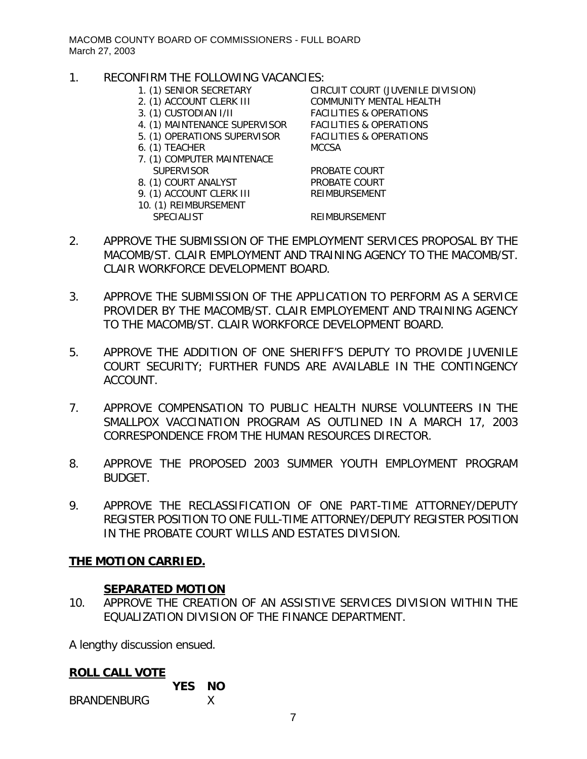#### 1. RECONFIRM THE FOLLOWING VACANCIES:

- 
- 
- 
- 4. (1) MAINTENANCE SUPERVISOR FACILITIES & OPERATIONS
- 5. (1) OPERATIONS SUPERVISOR FACILITIES & OPERATIONS
- 6. (1) TEACHER MCCSA
- 7. (1) COMPUTER MAINTENACE SUPERVISOR PROBATE COURT
- 8. (1) COURT ANALYST PROBATE COURT
- 9. (1) ACCOUNT CLERK III REIMBURSEMENT
- 10. (1) REIMBURSEMENT
	-

1. (1) SENIOR SECRETARY CIRCUIT COURT (JUVENILE DIVISION) 2. (1) ACCOUNT CLERK III COMMUNITY MENTAL HEALTH 3. (1) CUSTODIAN I/II FACILITIES & OPERATIONS

#### SPECIALIST REIMBURSEMENT

- 2. APPROVE THE SUBMISSION OF THE EMPLOYMENT SERVICES PROPOSAL BY THE MACOMB/ST. CLAIR EMPLOYMENT AND TRAINING AGENCY TO THE MACOMB/ST. CLAIR WORKFORCE DEVELOPMENT BOARD.
- 3. APPROVE THE SUBMISSION OF THE APPLICATION TO PERFORM AS A SERVICE PROVIDER BY THE MACOMB/ST. CLAIR EMPLOYEMENT AND TRAINING AGENCY TO THE MACOMB/ST. CLAIR WORKFORCE DEVELOPMENT BOARD.
- 5. APPROVE THE ADDITION OF ONE SHERIFF'S DEPUTY TO PROVIDE JUVENILE COURT SECURITY; FURTHER FUNDS ARE AVAILABLE IN THE CONTINGENCY ACCOUNT.
- 7. APPROVE COMPENSATION TO PUBLIC HEALTH NURSE VOLUNTEERS IN THE SMALLPOX VACCINATION PROGRAM AS OUTLINED IN A MARCH 17, 2003 CORRESPONDENCE FROM THE HUMAN RESOURCES DIRECTOR.
- 8. APPROVE THE PROPOSED 2003 SUMMER YOUTH EMPLOYMENT PROGRAM BUDGET.
- 9. APPROVE THE RECLASSIFICATION OF ONE PART-TIME ATTORNEY/DEPUTY REGISTER POSITION TO ONE FULL-TIME ATTORNEY/DEPUTY REGISTER POSITION IN THE PROBATE COURT WILLS AND ESTATES DIVISION.

# **THE MOTION CARRIED.**

#### **SEPARATED MOTION**

10. APPROVE THE CREATION OF AN ASSISTIVE SERVICES DIVISION WITHIN THE EQUALIZATION DIVISION OF THE FINANCE DEPARTMENT.

A lengthy discussion ensued.

#### **ROLL CALL VOTE**

|                    | <b>YES NO</b> |  |
|--------------------|---------------|--|
| <b>BRANDENBURG</b> |               |  |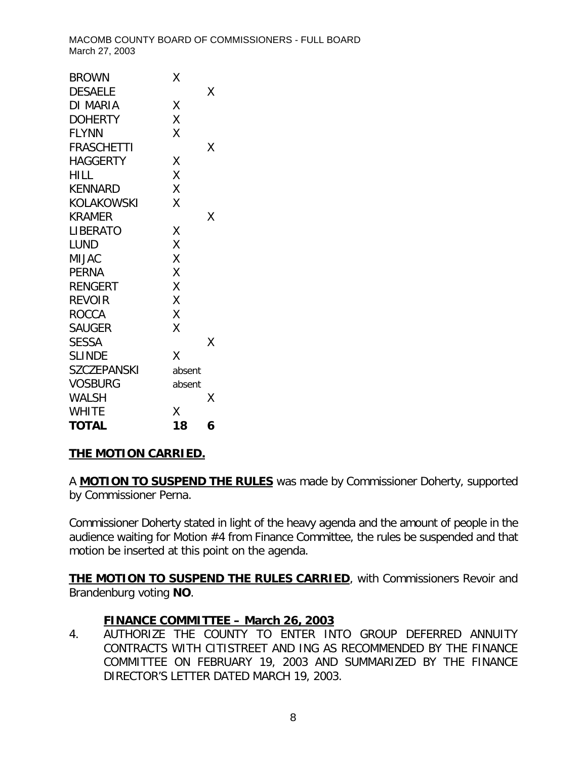| <b>TOTAL</b>       | 18     | 6 |
|--------------------|--------|---|
| <b>WHITE</b>       | Χ      |   |
| WALSH              |        | Χ |
| <b>VOSBURG</b>     | absent |   |
| <b>SZCZEPANSKI</b> | absent |   |
| <b>SLINDE</b>      | Χ      |   |
| <b>SESSA</b>       |        | Χ |
| <b>SAUGER</b>      | Χ      |   |
| <b>ROCCA</b>       | Χ      |   |
| <b>REVOIR</b>      | X      |   |
| <b>RENGERT</b>     | X      |   |
| <b>PERNA</b>       | X      |   |
| <b>MIJAC</b>       | X      |   |
| LUND               | X      |   |
| LIBERATO           | Χ      |   |
| <b>KRAMER</b>      |        | χ |
| <b>KOLAKOWSKI</b>  | Χ      |   |
| <b>KENNARD</b>     | X      |   |
| <b>HILL</b>        | X      |   |
| <b>HAGGERTY</b>    | Χ      |   |
| <b>FRASCHETTI</b>  |        | Χ |
| <b>FLYNN</b>       | Χ      |   |
| <b>DOHERTY</b>     | Χ      |   |
| DI MARIA           | Χ      |   |
| <b>DESAELE</b>     |        | Χ |
| <b>BROWN</b>       | Χ      |   |

# **THE MOTION CARRIED.**

A **MOTION TO SUSPEND THE RULES** was made by Commissioner Doherty, supported by Commissioner Perna.

Commissioner Doherty stated in light of the heavy agenda and the amount of people in the audience waiting for Motion #4 from Finance Committee, the rules be suspended and that motion be inserted at this point on the agenda.

**THE MOTION TO SUSPEND THE RULES CARRIED**, with Commissioners Revoir and Brandenburg voting **NO**.

# *FINANCE COMMITTEE – March 26, 2003*

4. AUTHORIZE THE COUNTY TO ENTER INTO GROUP DEFERRED ANNUITY CONTRACTS WITH CITISTREET AND ING AS RECOMMENDED BY THE FINANCE COMMITTEE ON FEBRUARY 19, 2003 AND SUMMARIZED BY THE FINANCE DIRECTOR'S LETTER DATED MARCH 19, 2003.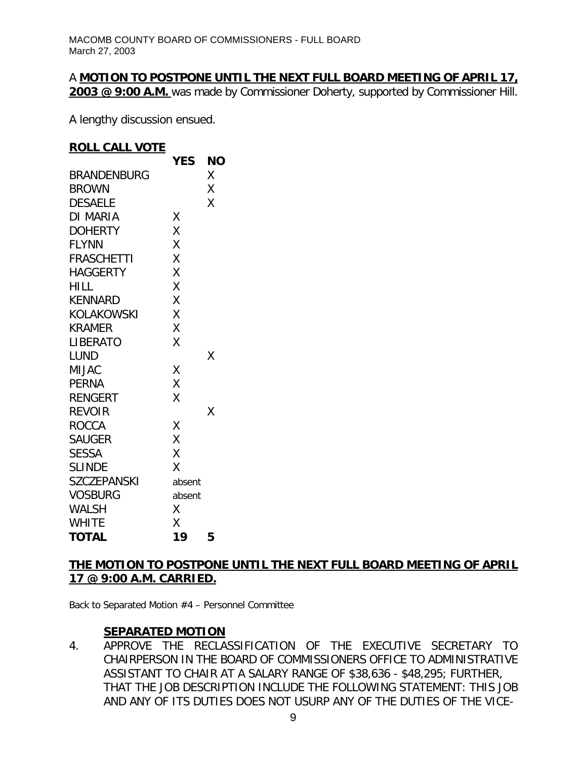#### A **MOTION TO POSTPONE UNTIL THE NEXT FULL BOARD MEETING OF APRIL 17, 2003 @ 9:00 A.M.** was made by Commissioner Doherty, supported by Commissioner Hill.

A lengthy discussion ensued.

#### **ROLL CALL VOTE**

|                 | <b>YES</b> | NΟ |
|-----------------|------------|----|
| BRANDENBURG     |            | Χ  |
| <b>BROWN</b>    |            | X  |
| <b>DESAELE</b>  |            | Χ  |
| DI MARIA        | Χ          |    |
| <b>DOHERTY</b>  | X          |    |
| <b>FLYNN</b>    | Χ          |    |
| FRASCHETTI      | X          |    |
| <b>HAGGERTY</b> | X          |    |
| HILL            | Χ          |    |
| <b>KENNARD</b>  | X          |    |
| KOLAKOWSKI      | X          |    |
| KRAMER          | X          |    |
| LIBERATO        | X          |    |
| LUND            |            | Χ  |
| <b>MIJAC</b>    | Χ          |    |
| PERNA           | X          |    |
| <b>RENGERT</b>  | Χ          |    |
| <b>REVOIR</b>   |            | χ  |
| <b>ROCCA</b>    | Χ          |    |
| <b>SAUGER</b>   | X          |    |
| <b>SESSA</b>    | X          |    |
| <b>SLINDE</b>   | X          |    |
| SZCZEPANSKI     | absent     |    |
| <b>VOSBURG</b>  | absent     |    |
| <b>WALSH</b>    | Χ          |    |
| <b>WHITE</b>    | Χ          |    |
| <b>TOTAL</b>    | 19         | 5  |

# **THE MOTION TO POSTPONE UNTIL THE NEXT FULL BOARD MEETING OF APRIL 17 @ 9:00 A.M. CARRIED.**

*Back to Separated Motion #4 – Personnel Committee*

#### **SEPARATED MOTION**

4. APPROVE THE RECLASSIFICATION OF THE EXECUTIVE SECRETARY TO CHAIRPERSON IN THE BOARD OF COMMISSIONERS OFFICE TO ADMINISTRATIVE ASSISTANT TO CHAIR AT A SALARY RANGE OF \$38,636 - \$48,295; FURTHER, THAT THE JOB DESCRIPTION INCLUDE THE FOLLOWING STATEMENT: THIS JOB AND ANY OF ITS DUTIES DOES NOT USURP ANY OF THE DUTIES OF THE VICE-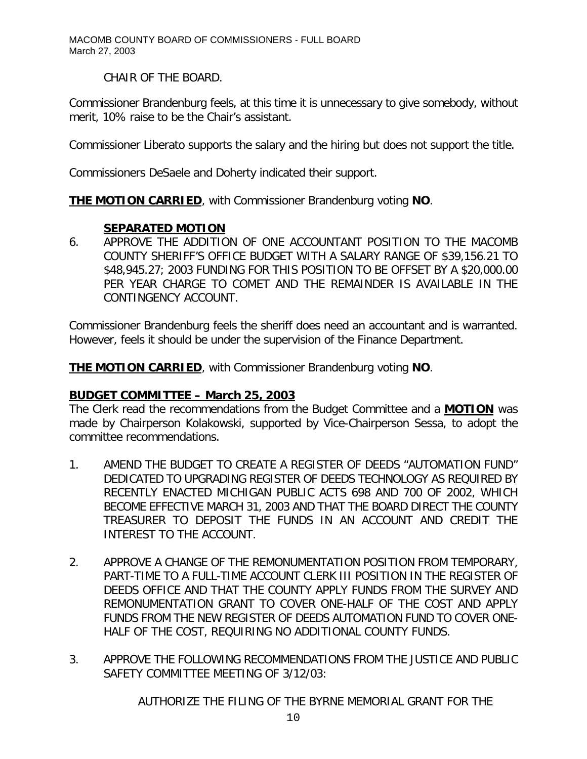CHAIR OF THE BOARD.

Commissioner Brandenburg feels, at this time it is unnecessary to give somebody, without merit, 10% raise to be the Chair's assistant.

Commissioner Liberato supports the salary and the hiring but does not support the title.

Commissioners DeSaele and Doherty indicated their support.

**THE MOTION CARRIED**, with Commissioner Brandenburg voting **NO**.

# **SEPARATED MOTION**

6. APPROVE THE ADDITION OF ONE ACCOUNTANT POSITION TO THE MACOMB COUNTY SHERIFF'S OFFICE BUDGET WITH A SALARY RANGE OF \$39,156.21 TO \$48,945.27; 2003 FUNDING FOR THIS POSITION TO BE OFFSET BY A \$20,000.00 PER YEAR CHARGE TO COMET AND THE REMAINDER IS AVAILABLE IN THE CONTINGENCY ACCOUNT.

Commissioner Brandenburg feels the sheriff does need an accountant and is warranted. However, feels it should be under the supervision of the Finance Department.

**THE MOTION CARRIED**, with Commissioner Brandenburg voting **NO**.

#### *BUDGET COMMITTEE – March 25, 2003*

The Clerk read the recommendations from the Budget Committee and a **MOTION** was made by Chairperson Kolakowski, supported by Vice-Chairperson Sessa, to adopt the committee recommendations.

- 1. AMEND THE BUDGET TO CREATE A REGISTER OF DEEDS "AUTOMATION FUND" DEDICATED TO UPGRADING REGISTER OF DEEDS TECHNOLOGY AS REQUIRED BY RECENTLY ENACTED MICHIGAN PUBLIC ACTS 698 AND 700 OF 2002, WHICH BECOME EFFECTIVE MARCH 31, 2003 AND THAT THE BOARD DIRECT THE COUNTY TREASURER TO DEPOSIT THE FUNDS IN AN ACCOUNT AND CREDIT THE INTEREST TO THE ACCOUNT.
- 2. APPROVE A CHANGE OF THE REMONUMENTATION POSITION FROM TEMPORARY, PART-TIME TO A FULL-TIME ACCOUNT CLERK III POSITION IN THE REGISTER OF DEEDS OFFICE AND THAT THE COUNTY APPLY FUNDS FROM THE SURVEY AND REMONUMENTATION GRANT TO COVER ONE-HALF OF THE COST AND APPLY FUNDS FROM THE NEW REGISTER OF DEEDS AUTOMATION FUND TO COVER ONE-HALF OF THE COST, REQUIRING NO ADDITIONAL COUNTY FUNDS.
- 3. APPROVE THE FOLLOWING RECOMMENDATIONS FROM THE JUSTICE AND PUBLIC SAFETY COMMITTEE MEETING OF 3/12/03:

AUTHORIZE THE FILING OF THE BYRNE MEMORIAL GRANT FOR THE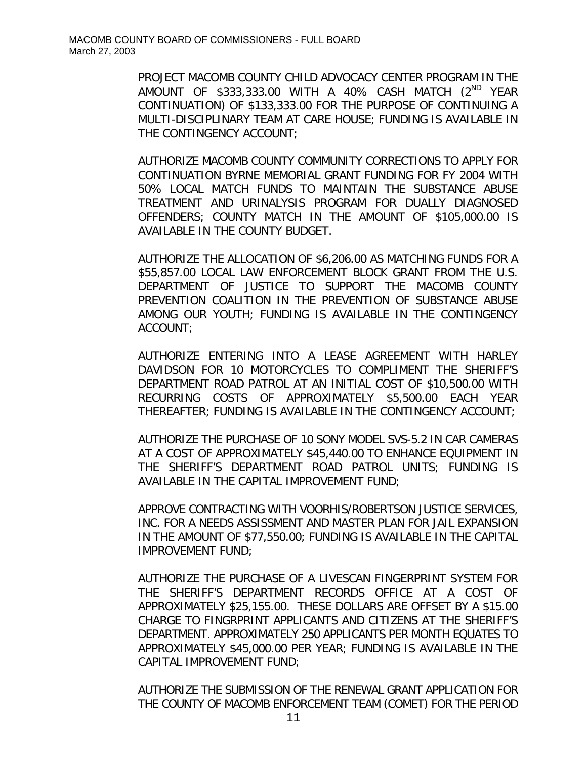PROJECT MACOMB COUNTY CHILD ADVOCACY CENTER PROGRAM IN THE AMOUNT OF \$333,333.00 WITH A 40% CASH MATCH (2ND YEAR CONTINUATION) OF \$133,333.00 FOR THE PURPOSE OF CONTINUING A MULTI-DISCIPLINARY TEAM AT CARE HOUSE; FUNDING IS AVAILABLE IN THE CONTINGENCY ACCOUNT;

AUTHORIZE MACOMB COUNTY COMMUNITY CORRECTIONS TO APPLY FOR CONTINUATION BYRNE MEMORIAL GRANT FUNDING FOR FY 2004 WITH 50% LOCAL MATCH FUNDS TO MAINTAIN THE SUBSTANCE ABUSE TREATMENT AND URINALYSIS PROGRAM FOR DUALLY DIAGNOSED OFFENDERS; COUNTY MATCH IN THE AMOUNT OF \$105,000.00 IS AVAILABLE IN THE COUNTY BUDGET.

AUTHORIZE THE ALLOCATION OF \$6,206.00 AS MATCHING FUNDS FOR A \$55,857.00 LOCAL LAW ENFORCEMENT BLOCK GRANT FROM THE U.S. DEPARTMENT OF JUSTICE TO SUPPORT THE MACOMB COUNTY PREVENTION COALITION IN THE PREVENTION OF SUBSTANCE ABUSE AMONG OUR YOUTH; FUNDING IS AVAILABLE IN THE CONTINGENCY ACCOUNT;

AUTHORIZE ENTERING INTO A LEASE AGREEMENT WITH HARLEY DAVIDSON FOR 10 MOTORCYCLES TO COMPLIMENT THE SHERIFF'S DEPARTMENT ROAD PATROL AT AN INITIAL COST OF \$10,500.00 WITH RECURRING COSTS OF APPROXIMATELY \$5,500.00 EACH YEAR THEREAFTER; FUNDING IS AVAILABLE IN THE CONTINGENCY ACCOUNT;

AUTHORIZE THE PURCHASE OF 10 SONY MODEL SVS-5.2 IN CAR CAMERAS AT A COST OF APPROXIMATELY \$45,440.00 TO ENHANCE EQUIPMENT IN THE SHERIFF'S DEPARTMENT ROAD PATROL UNITS; FUNDING IS AVAILABLE IN THE CAPITAL IMPROVEMENT FUND;

APPROVE CONTRACTING WITH VOORHIS/ROBERTSON JUSTICE SERVICES, INC. FOR A NEEDS ASSISSMENT AND MASTER PLAN FOR JAIL EXPANSION IN THE AMOUNT OF \$77,550.00; FUNDING IS AVAILABLE IN THE CAPITAL IMPROVEMENT FUND;

AUTHORIZE THE PURCHASE OF A LIVESCAN FINGERPRINT SYSTEM FOR THE SHERIFF'S DEPARTMENT RECORDS OFFICE AT A COST OF APPROXIMATELY \$25,155.00. THESE DOLLARS ARE OFFSET BY A \$15.00 CHARGE TO FINGRPRINT APPLICANTS AND CITIZENS AT THE SHERIFF'S DEPARTMENT. APPROXIMATELY 250 APPLICANTS PER MONTH EQUATES TO APPROXIMATELY \$45,000.00 PER YEAR; FUNDING IS AVAILABLE IN THE CAPITAL IMPROVEMENT FUND;

AUTHORIZE THE SUBMISSION OF THE RENEWAL GRANT APPLICATION FOR THE COUNTY OF MACOMB ENFORCEMENT TEAM (COMET) FOR THE PERIOD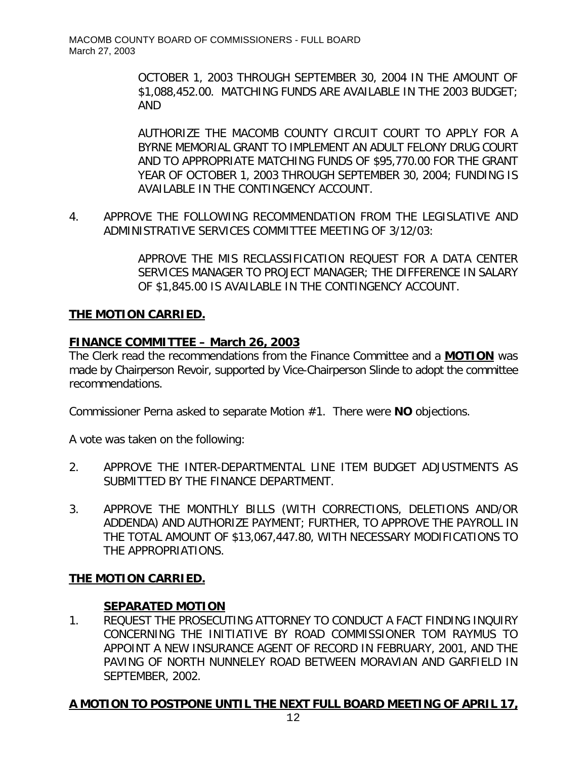OCTOBER 1, 2003 THROUGH SEPTEMBER 30, 2004 IN THE AMOUNT OF \$1,088,452.00. MATCHING FUNDS ARE AVAILABLE IN THE 2003 BUDGET; AND

AUTHORIZE THE MACOMB COUNTY CIRCUIT COURT TO APPLY FOR A BYRNE MEMORIAL GRANT TO IMPLEMENT AN ADULT FELONY DRUG COURT AND TO APPROPRIATE MATCHING FUNDS OF \$95,770.00 FOR THE GRANT YEAR OF OCTOBER 1, 2003 THROUGH SEPTEMBER 30, 2004; FUNDING IS AVAILABLE IN THE CONTINGENCY ACCOUNT.

4. APPROVE THE FOLLOWING RECOMMENDATION FROM THE LEGISLATIVE AND ADMINISTRATIVE SERVICES COMMITTEE MEETING OF 3/12/03:

> APPROVE THE MIS RECLASSIFICATION REQUEST FOR A DATA CENTER SERVICES MANAGER TO PROJECT MANAGER; THE DIFFERENCE IN SALARY OF \$1,845.00 IS AVAILABLE IN THE CONTINGENCY ACCOUNT.

# **THE MOTION CARRIED.**

# *FINANCE COMMITTEE – March 26, 2003*

The Clerk read the recommendations from the Finance Committee and a **MOTION** was made by Chairperson Revoir, supported by Vice-Chairperson Slinde to adopt the committee recommendations.

Commissioner Perna asked to separate Motion #1. There were **NO** objections.

A vote was taken on the following:

- 2. APPROVE THE INTER-DEPARTMENTAL LINE ITEM BUDGET ADJUSTMENTS AS SUBMITTED BY THE FINANCE DEPARTMENT.
- 3. APPROVE THE MONTHLY BILLS (WITH CORRECTIONS, DELETIONS AND/OR ADDENDA) AND AUTHORIZE PAYMENT; FURTHER, TO APPROVE THE PAYROLL IN THE TOTAL AMOUNT OF \$13,067,447.80, WITH NECESSARY MODIFICATIONS TO THE APPROPRIATIONS.

#### **THE MOTION CARRIED.**

#### **SEPARATED MOTION**

1. REQUEST THE PROSECUTING ATTORNEY TO CONDUCT A FACT FINDING INQUIRY CONCERNING THE INITIATIVE BY ROAD COMMISSIONER TOM RAYMUS TO APPOINT A NEW INSURANCE AGENT OF RECORD IN FEBRUARY, 2001, AND THE PAVING OF NORTH NUNNELEY ROAD BETWEEN MORAVIAN AND GARFIELD IN SEPTEMBER, 2002.

#### **A MOTION TO POSTPONE UNTIL THE NEXT FULL BOARD MEETING OF APRIL 17,**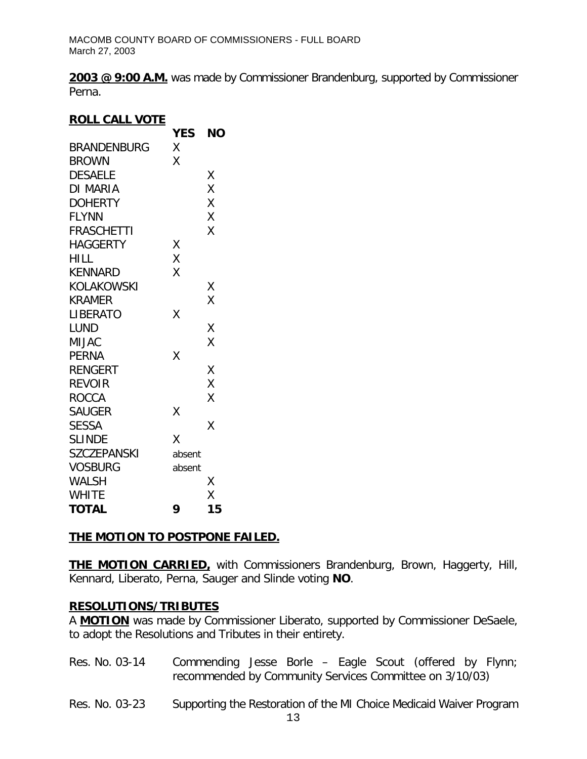**2003 @ 9:00 A.M.** was made by Commissioner Brandenburg, supported by Commissioner Perna.

# **ROLL CALL VOTE**

|                    | <b>YES</b> | NΟ |
|--------------------|------------|----|
| BRANDENBURG        | Χ          |    |
| <b>BROWN</b>       | Χ          |    |
| <b>DESAELE</b>     |            | Χ  |
| DI MARIA           |            | X  |
| <b>DOHERTY</b>     |            | Χ  |
| <b>FLYNN</b>       |            | Χ  |
| <b>FRASCHETTI</b>  |            | X  |
| <b>HAGGERTY</b>    | Χ          |    |
| <b>HILL</b>        | Χ          |    |
| <b>KENNARD</b>     | X          |    |
| KOLAKOWSKI         |            | Χ  |
| <b>KRAMER</b>      |            | Χ  |
| <b>LIBERATO</b>    | X          |    |
| <b>LUND</b>        |            | Χ  |
| <b>MIJAC</b>       |            | Χ  |
| <b>PERNA</b>       | X          |    |
| <b>RENGERT</b>     |            | Χ  |
| <b>REVOIR</b>      |            | X  |
| <b>ROCCA</b>       |            | X  |
| <b>SAUGER</b>      | Χ          |    |
| <b>SESSA</b>       |            | χ  |
| <b>SLINDE</b>      | Χ          |    |
| <b>SZCZEPANSKI</b> | absent     |    |
| <b>VOSBURG</b>     | absent     |    |
| WALSH              |            | Χ  |
| <b>WHITE</b>       |            | Χ  |
| <b>TOTAL</b>       | 9          | 15 |

# **THE MOTION TO POSTPONE FAILED.**

**THE MOTION CARRIED,** with Commissioners Brandenburg, Brown, Haggerty, Hill, Kennard, Liberato, Perna, Sauger and Slinde voting **NO**.

# **RESOLUTIONS/TRIBUTES**

A **MOTION** was made by Commissioner Liberato, supported by Commissioner DeSaele, to adopt the Resolutions and Tributes in their entirety.

- Res. No. 03-14 Commending Jesse Borle Eagle Scout (offered by Flynn; recommended by Community Services Committee on 3/10/03)
- Res. No. 03-23 Supporting the Restoration of the MI Choice Medicaid Waiver Program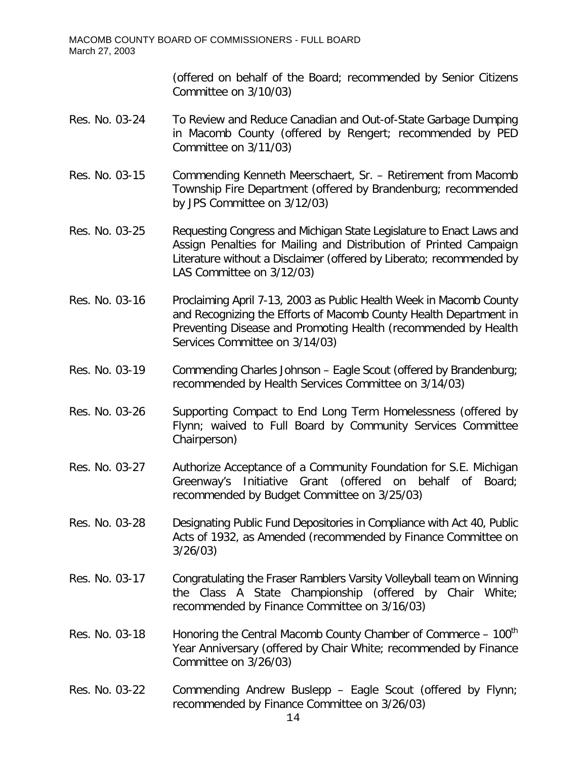(offered on behalf of the Board; recommended by Senior Citizens Committee on 3/10/03)

- Res. No. 03-24 To Review and Reduce Canadian and Out-of-State Garbage Dumping in Macomb County (offered by Rengert; recommended by PED Committee on 3/11/03)
- Res. No. 03-15 Commending Kenneth Meerschaert, Sr. Retirement from Macomb Township Fire Department (offered by Brandenburg; recommended by JPS Committee on 3/12/03)
- Res. No. 03-25 Requesting Congress and Michigan State Legislature to Enact Laws and Assign Penalties for Mailing and Distribution of Printed Campaign Literature without a Disclaimer (offered by Liberato; recommended by LAS Committee on 3/12/03)
- Res. No. 03-16 Proclaiming April 7-13, 2003 as Public Health Week in Macomb County and Recognizing the Efforts of Macomb County Health Department in Preventing Disease and Promoting Health (recommended by Health Services Committee on 3/14/03)
- Res. No. 03-19 Commending Charles Johnson Eagle Scout (offered by Brandenburg; recommended by Health Services Committee on 3/14/03)
- Res. No. 03-26 Supporting Compact to End Long Term Homelessness (offered by Flynn; waived to Full Board by Community Services Committee Chairperson)
- Res. No. 03-27 Authorize Acceptance of a Community Foundation for S.E. Michigan Greenway's Initiative Grant (offered on behalf of Board; recommended by Budget Committee on 3/25/03)
- Res. No. 03-28 Designating Public Fund Depositories in Compliance with Act 40, Public Acts of 1932, as Amended (recommended by Finance Committee on 3/26/03)
- Res. No. 03-17 Congratulating the Fraser Ramblers Varsity Volleyball team on Winning the Class A State Championship (offered by Chair White; recommended by Finance Committee on 3/16/03)
- Res. No. 03-18 Honoring the Central Macomb County Chamber of Commerce  $-100<sup>th</sup>$ Year Anniversary (offered by Chair White; recommended by Finance Committee on 3/26/03)
- Res. No. 03-22 Commending Andrew Buslepp Eagle Scout (offered by Flynn; recommended by Finance Committee on 3/26/03)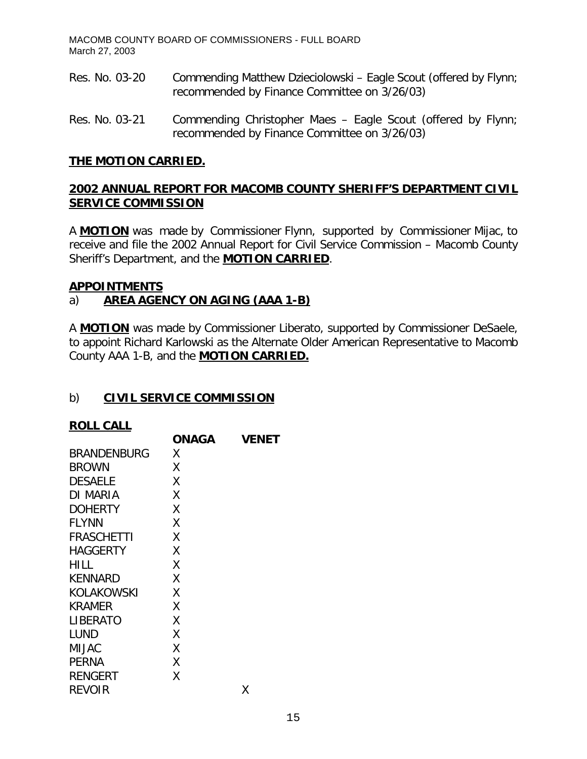- Res. No. 03-20 Commending Matthew Dzieciolowski Eagle Scout (offered by Flynn; recommended by Finance Committee on 3/26/03)
- Res. No. 03-21 Commending Christopher Maes Eagle Scout (offered by Flynn; recommended by Finance Committee on 3/26/03)

#### **THE MOTION CARRIED.**

# **2002 ANNUAL REPORT FOR MACOMB COUNTY SHERIFF'S DEPARTMENT CIVIL SERVICE COMMISSION**

A **MOTION** was made by Commissioner Flynn, supported by Commissioner Mijac, to receive and file the 2002 Annual Report for Civil Service Commission – Macomb County Sheriff's Department, and the **MOTION CARRIED**.

#### **APPOINTMENTS**

# a) **AREA AGENCY ON AGING (AAA 1-B)**

A **MOTION** was made by Commissioner Liberato, supported by Commissioner DeSaele, to appoint Richard Karlowski as the Alternate Older American Representative to Macomb County AAA 1-B, and the **MOTION CARRIED.**

#### b) **CIVIL SERVICE COMMISSION**

#### **ROLL CALL**

| <b>ONAGA</b> | <b>VENET</b> |
|--------------|--------------|
| Χ            |              |
| Χ            |              |
| χ            |              |
| χ            |              |
| χ            |              |
| χ            |              |
| χ            |              |
| χ            |              |
| χ            |              |
| χ            |              |
| X            |              |
| X            |              |
| χ            |              |
| X            |              |
| X            |              |
| χ            |              |
| Χ            |              |
|              | Χ            |
|              |              |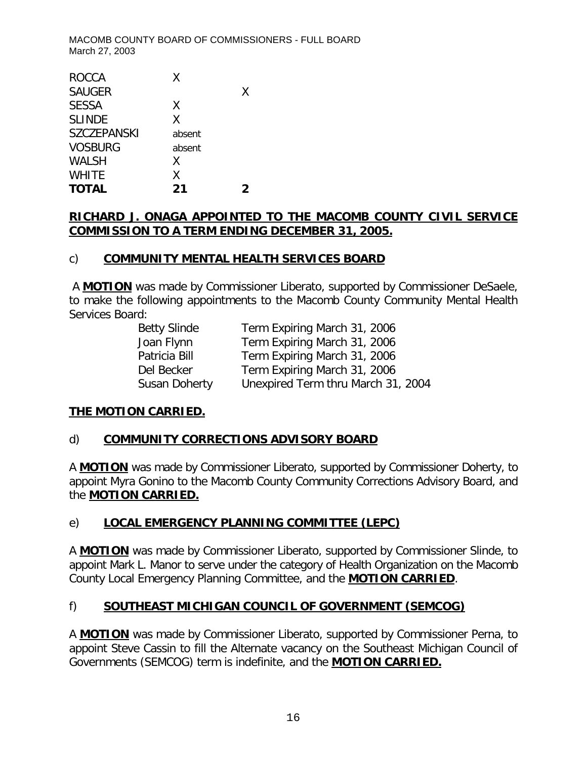| <b>ROCCA</b>       | Χ      |   |
|--------------------|--------|---|
| <b>SAUGER</b>      |        | X |
| <b>SESSA</b>       | X      |   |
| <b>SLINDE</b>      | X      |   |
| <b>SZCZEPANSKI</b> | absent |   |
| <b>VOSBURG</b>     | absent |   |
| <b>WALSH</b>       | X      |   |
| <b>WHITE</b>       | χ      |   |
| <b>TOTAL</b>       | 21     |   |

# **RICHARD J. ONAGA APPOINTED TO THE MACOMB COUNTY CIVIL SERVICE COMMISSION TO A TERM ENDING DECEMBER 31, 2005.**

# c) **COMMUNITY MENTAL HEALTH SERVICES BOARD**

A **MOTION** was made by Commissioner Liberato, supported by Commissioner DeSaele, to make the following appointments to the Macomb County Community Mental Health Services Board:

| <b>Betty Slinde</b> | Term Expiring March 31, 2006       |
|---------------------|------------------------------------|
| Joan Flynn          | Term Expiring March 31, 2006       |
| Patricia Bill       | Term Expiring March 31, 2006       |
| Del Becker          | Term Expiring March 31, 2006       |
| Susan Doherty       | Unexpired Term thru March 31, 2004 |

# **THE MOTION CARRIED.**

#### d) **COMMUNITY CORRECTIONS ADVISORY BOARD**

A **MOTION** was made by Commissioner Liberato, supported by Commissioner Doherty, to appoint Myra Gonino to the Macomb County Community Corrections Advisory Board, and the **MOTION CARRIED.**

# e) **LOCAL EMERGENCY PLANNING COMMITTEE (LEPC)**

A **MOTION** was made by Commissioner Liberato, supported by Commissioner Slinde, to appoint Mark L. Manor to serve under the category of Health Organization on the Macomb County Local Emergency Planning Committee, and the **MOTION CARRIED**.

# f) **SOUTHEAST MICHIGAN COUNCIL OF GOVERNMENT (SEMCOG)**

A **MOTION** was made by Commissioner Liberato, supported by Commissioner Perna, to appoint Steve Cassin to fill the Alternate vacancy on the Southeast Michigan Council of Governments (SEMCOG) term is indefinite, and the **MOTION CARRIED.**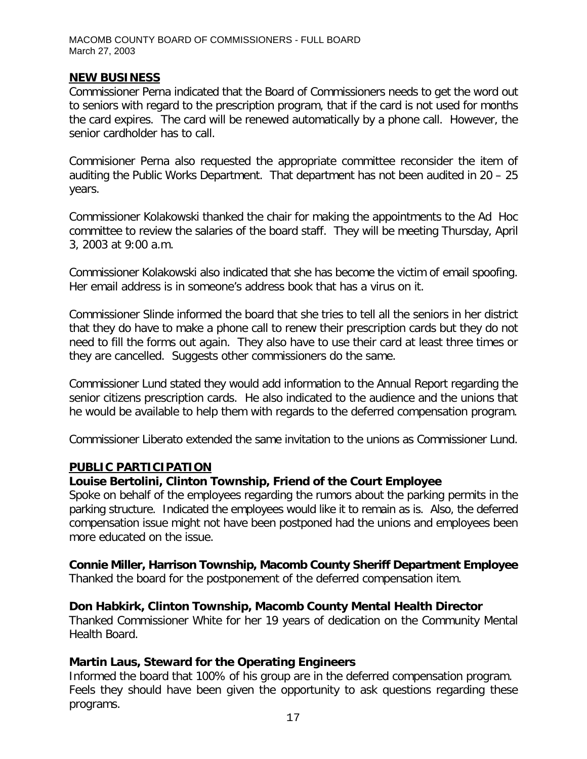#### **NEW BUSINESS**

Commissioner Perna indicated that the Board of Commissioners needs to get the word out to seniors with regard to the prescription program, that if the card is not used for months the card expires. The card will be renewed automatically by a phone call. However, the senior cardholder has to call.

Commisioner Perna also requested the appropriate committee reconsider the item of auditing the Public Works Department. That department has not been audited in 20 – 25 years.

Commissioner Kolakowski thanked the chair for making the appointments to the Ad Hoc committee to review the salaries of the board staff. They will be meeting Thursday, April 3, 2003 at 9:00 a.m.

Commissioner Kolakowski also indicated that she has become the victim of email spoofing. Her email address is in someone's address book that has a virus on it.

Commissioner Slinde informed the board that she tries to tell all the seniors in her district that they do have to make a phone call to renew their prescription cards but they do not need to fill the forms out again. They also have to use their card at least three times or they are cancelled. Suggests other commissioners do the same.

Commissioner Lund stated they would add information to the Annual Report regarding the senior citizens prescription cards. He also indicated to the audience and the unions that he would be available to help them with regards to the deferred compensation program.

Commissioner Liberato extended the same invitation to the unions as Commissioner Lund.

#### **PUBLIC PARTICIPATION**

# *Louise Bertolini, Clinton Township, Friend of the Court Employee*

Spoke on behalf of the employees regarding the rumors about the parking permits in the parking structure. Indicated the employees would like it to remain as is. Also, the deferred compensation issue might not have been postponed had the unions and employees been more educated on the issue.

# *Connie Miller, Harrison Township, Macomb County Sheriff Department Employee*

Thanked the board for the postponement of the deferred compensation item.

# *Don Habkirk, Clinton Township, Macomb County Mental Health Director*

Thanked Commissioner White for her 19 years of dedication on the Community Mental Health Board.

# *Martin Laus, Steward for the Operating Engineers*

Informed the board that 100% of his group are in the deferred compensation program. Feels they should have been given the opportunity to ask questions regarding these programs.